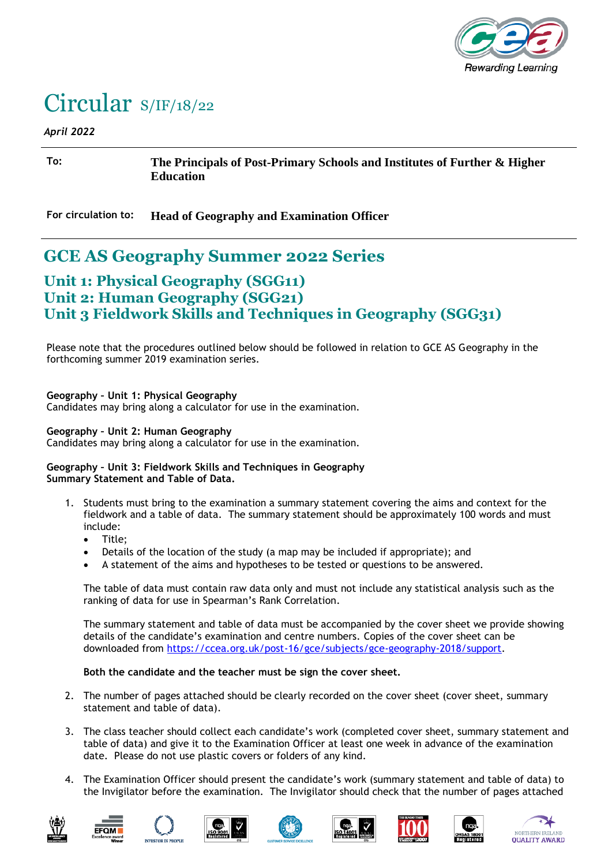

# Circular S/IF/18/22

#### *April 2022*

**To: The Principals of Post-Primary Schools and Institutes of Further & Higher Education**

**For circulation to: Head of Geography and Examination Officer**

## **GCE AS Geography Summer 2022 Series**

## **Unit 1: Physical Geography (SGG11) Unit 2: Human Geography (SGG21) Unit 3 Fieldwork Skills and Techniques in Geography (SGG31)**

Please note that the procedures outlined below should be followed in relation to GCE AS Geography in the forthcoming summer 2019 examination series.

### **Geography – Unit 1: Physical Geography**

Candidates may bring along a calculator for use in the examination.

#### **Geography – Unit 2: Human Geography**

Candidates may bring along a calculator for use in the examination.

#### **Geography – Unit 3: Fieldwork Skills and Techniques in Geography Summary Statement and Table of Data.**

- 1. Students must bring to the examination a summary statement covering the aims and context for the fieldwork and a table of data. The summary statement should be approximately 100 words and must include:
	- Title;
	- Details of the location of the study (a map may be included if appropriate); and
	- A statement of the aims and hypotheses to be tested or questions to be answered.

The table of data must contain raw data only and must not include any statistical analysis such as the ranking of data for use in Spearman's Rank Correlation.

The summary statement and table of data must be accompanied by the cover sheet we provide showing details of the candidate's examination and centre numbers. Copies of the cover sheet can be downloaded from [https://ccea.org.uk/post-16/gce/subjects/gce-geography-2018/support.](https://ccea.org.uk/post-16/gce/subjects/gce-geography-2018/support)

### **Both the candidate and the teacher must be sign the cover sheet.**

- 2. The number of pages attached should be clearly recorded on the cover sheet (cover sheet, summary statement and table of data).
- 3. The class teacher should collect each candidate's work (completed cover sheet, summary statement and table of data) and give it to the Examination Officer at least one week in advance of the examination date. Please do not use plastic covers or folders of any kind.
- 4. The Examination Officer should present the candidate's work (summary statement and table of data) to the Invigilator before the examination. The Invigilator should check that the number of pages attached